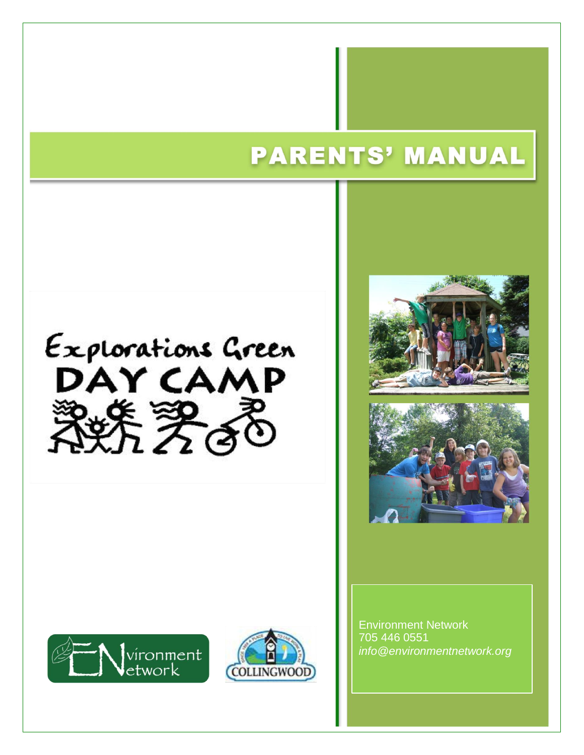# **PARENTS' MANUAL**











Environment Network 705 446 0551 *info@environmentnetwork.org*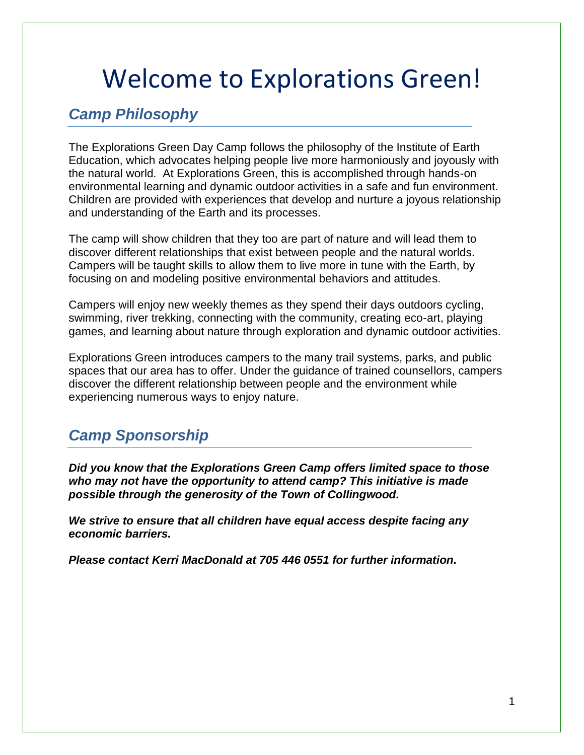# Welcome to Explorations Green!

## *Camp Philosophy*

The Explorations Green Day Camp follows the philosophy of the Institute of Earth Education, which advocates helping people live more harmoniously and joyously with the natural world. At Explorations Green, this is accomplished through hands-on environmental learning and dynamic outdoor activities in a safe and fun environment. Children are provided with experiences that develop and nurture a joyous relationship and understanding of the Earth and its processes.

The camp will show children that they too are part of nature and will lead them to discover different relationships that exist between people and the natural worlds. Campers will be taught skills to allow them to live more in tune with the Earth, by focusing on and modeling positive environmental behaviors and attitudes.

Campers will enjoy new weekly themes as they spend their days outdoors cycling, swimming, river trekking, connecting with the community, creating eco-art, playing games, and learning about nature through exploration and dynamic outdoor activities.

Explorations Green introduces campers to the many trail systems, parks, and public spaces that our area has to offer. Under the guidance of trained counsellors, campers discover the different relationship between people and the environment while experiencing numerous ways to enjoy nature.

# *Camp Sponsorship*

*Did you know that the Explorations Green Camp offers limited space to those who may not have the opportunity to attend camp? This initiative is made possible through the generosity of the Town of Collingwood.*

*We strive to ensure that all children have equal access despite facing any economic barriers.* 

*Please contact Kerri MacDonald at 705 446 0551 for further information.*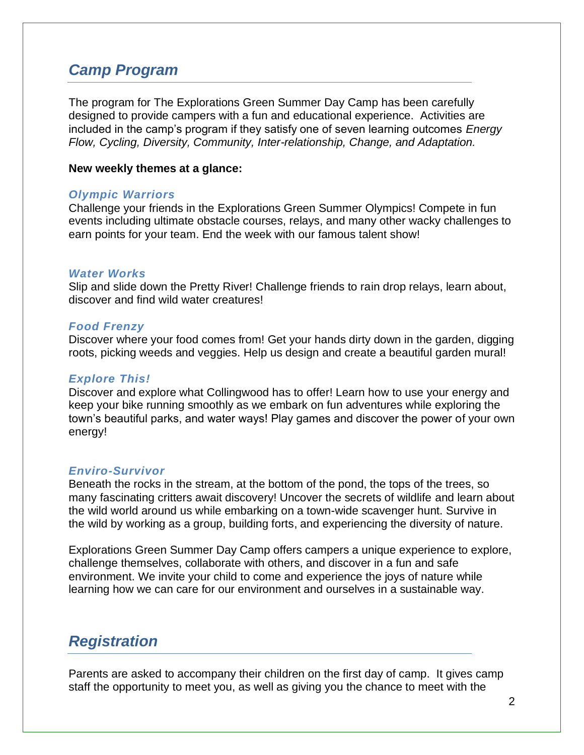### *Camp Program*

The program for The Explorations Green Summer Day Camp has been carefully designed to provide campers with a fun and educational experience. Activities are included in the camp's program if they satisfy one of seven learning outcomes *Energy Flow, Cycling, Diversity, Community, Inter-relationship, Change, and Adaptation.* 

#### **New weekly themes at a glance:**

#### *Olympic Warriors*

Challenge your friends in the Explorations Green Summer Olympics! Compete in fun events including ultimate obstacle courses, relays, and many other wacky challenges to earn points for your team. End the week with our famous talent show!

#### *Water Works*

Slip and slide down the Pretty River! Challenge friends to rain drop relays, learn about, discover and find wild water creatures!

#### *Food Frenzy*

Discover where your food comes from! Get your hands dirty down in the garden, digging roots, picking weeds and veggies. Help us design and create a beautiful garden mural!

#### *Explore This!*

Discover and explore what Collingwood has to offer! Learn how to use your energy and keep your bike running smoothly as we embark on fun adventures while exploring the town's beautiful parks, and water ways! Play games and discover the power of your own energy!

#### *Enviro-Survivor*

Beneath the rocks in the stream, at the bottom of the pond, the tops of the trees, so many fascinating critters await discovery! Uncover the secrets of wildlife and learn about the wild world around us while embarking on a town-wide scavenger hunt. Survive in the wild by working as a group, building forts, and experiencing the diversity of nature.

Explorations Green Summer Day Camp offers campers a unique experience to explore, challenge themselves, collaborate with others, and discover in a fun and safe environment. We invite your child to come and experience the joys of nature while learning how we can care for our environment and ourselves in a sustainable way.

### *Registration*

Parents are asked to accompany their children on the first day of camp. It gives camp staff the opportunity to meet you, as well as giving you the chance to meet with the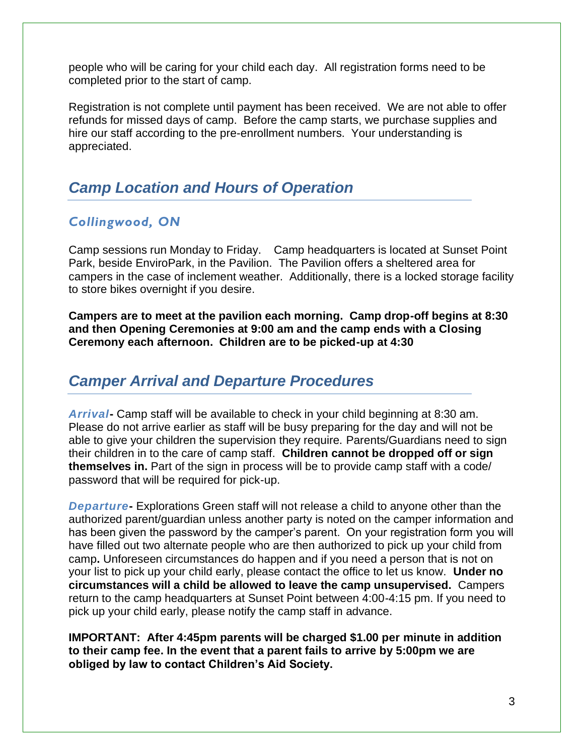people who will be caring for your child each day. All registration forms need to be completed prior to the start of camp.

Registration is not complete until payment has been received. We are not able to offer refunds for missed days of camp. Before the camp starts, we purchase supplies and hire our staff according to the pre-enrollment numbers. Your understanding is appreciated.

### *Camp Location and Hours of Operation*

### *Collingwood, ON*

Camp sessions run Monday to Friday. Camp headquarters is located at Sunset Point Park, beside EnviroPark, in the Pavilion. The Pavilion offers a sheltered area for campers in the case of inclement weather. Additionally, there is a locked storage facility to store bikes overnight if you desire.

**Campers are to meet at the pavilion each morning. Camp drop-off begins at 8:30 and then Opening Ceremonies at 9:00 am and the camp ends with a Closing Ceremony each afternoon. Children are to be picked-up at 4:30**

### *Camper Arrival and Departure Procedures*

*Arrival***-** Camp staff will be available to check in your child beginning at 8:30 am. Please do not arrive earlier as staff will be busy preparing for the day and will not be able to give your children the supervision they require. Parents/Guardians need to sign their children in to the care of camp staff. **Children cannot be dropped off or sign themselves in.** Part of the sign in process will be to provide camp staff with a code/ password that will be required for pick-up.

*Departure***-** Explorations Green staff will not release a child to anyone other than the authorized parent/guardian unless another party is noted on the camper information and has been given the password by the camper's parent. On your registration form you will have filled out two alternate people who are then authorized to pick up your child from camp**.** Unforeseen circumstances do happen and if you need a person that is not on your list to pick up your child early, please contact the office to let us know. **Under no circumstances will a child be allowed to leave the camp unsupervised.** Campers return to the camp headquarters at Sunset Point between 4:00-4:15 pm. If you need to pick up your child early, please notify the camp staff in advance.

**IMPORTANT: After 4:45pm parents will be charged \$1.00 per minute in addition to their camp fee. In the event that a parent fails to arrive by 5:00pm we are obliged by law to contact Children's Aid Society.**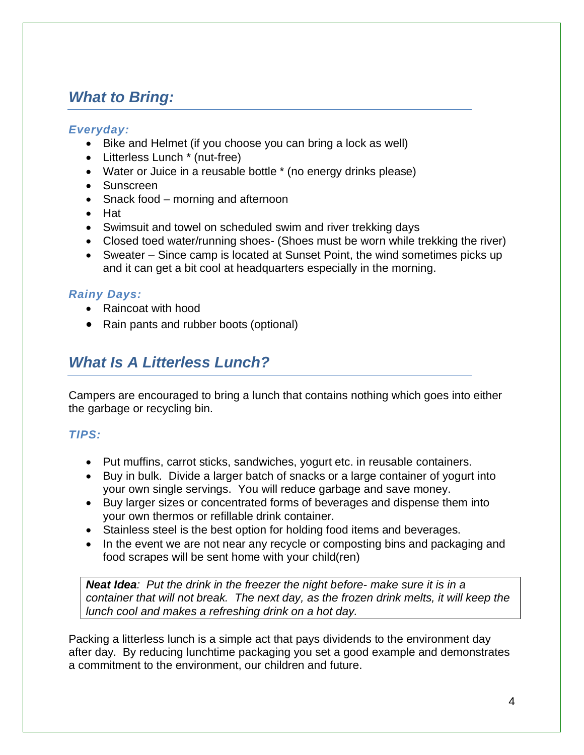# *What to Bring:*

#### *Everyday:*

- Bike and Helmet (if you choose you can bring a lock as well)
- Litterless Lunch \* (nut-free)
- Water or Juice in a reusable bottle \* (no energy drinks please)
- Sunscreen
- Snack food morning and afternoon
- Hat
- Swimsuit and towel on scheduled swim and river trekking days
- Closed toed water/running shoes- (Shoes must be worn while trekking the river)
- Sweater Since camp is located at Sunset Point, the wind sometimes picks up and it can get a bit cool at headquarters especially in the morning.

#### *Rainy Days:*

- Raincoat with hood
- Rain pants and rubber boots (optional)

# *What Is A Litterless Lunch?*

Campers are encouraged to bring a lunch that contains nothing which goes into either the garbage or recycling bin.

#### *TIPS:*

- Put muffins, carrot sticks, sandwiches, yogurt etc. in reusable containers.
- Buy in bulk. Divide a larger batch of snacks or a large container of yogurt into your own single servings. You will reduce garbage and save money.
- Buy larger sizes or concentrated forms of beverages and dispense them into your own thermos or refillable drink container.
- Stainless steel is the best option for holding food items and beverages.
- In the event we are not near any recycle or composting bins and packaging and food scrapes will be sent home with your child(ren)

*Neat Idea: Put the drink in the freezer the night before- make sure it is in a container that will not break. The next day, as the frozen drink melts, it will keep the lunch cool and makes a refreshing drink on a hot day.*

Packing a litterless lunch is a simple act that pays dividends to the environment day after day. By reducing lunchtime packaging you set a good example and demonstrates a commitment to the environment, our children and future.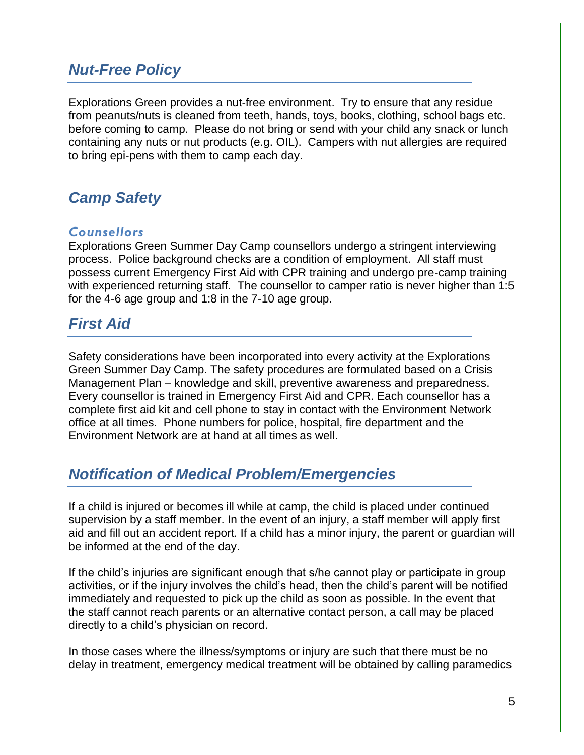### *Nut-Free Policy*

Explorations Green provides a nut-free environment. Try to ensure that any residue from peanuts/nuts is cleaned from teeth, hands, toys, books, clothing, school bags etc. before coming to camp. Please do not bring or send with your child any snack or lunch containing any nuts or nut products (e.g. OIL). Campers with nut allergies are required to bring epi-pens with them to camp each day.

## *Camp Safety*

#### *Counsellors*

Explorations Green Summer Day Camp counsellors undergo a stringent interviewing process. Police background checks are a condition of employment. All staff must possess current Emergency First Aid with CPR training and undergo pre-camp training with experienced returning staff. The counsellor to camper ratio is never higher than 1:5 for the 4-6 age group and 1:8 in the 7-10 age group.

### *First Aid*

Safety considerations have been incorporated into every activity at the Explorations Green Summer Day Camp. The safety procedures are formulated based on a Crisis Management Plan – knowledge and skill, preventive awareness and preparedness. Every counsellor is trained in Emergency First Aid and CPR. Each counsellor has a complete first aid kit and cell phone to stay in contact with the Environment Network office at all times. Phone numbers for police, hospital, fire department and the Environment Network are at hand at all times as well.

### *Notification of Medical Problem/Emergencies*

If a child is injured or becomes ill while at camp, the child is placed under continued supervision by a staff member. In the event of an injury, a staff member will apply first aid and fill out an accident report. If a child has a minor injury, the parent or guardian will be informed at the end of the day.

If the child's injuries are significant enough that s/he cannot play or participate in group activities, or if the injury involves the child's head, then the child's parent will be notified immediately and requested to pick up the child as soon as possible. In the event that the staff cannot reach parents or an alternative contact person, a call may be placed directly to a child's physician on record.

In those cases where the illness/symptoms or injury are such that there must be no delay in treatment, emergency medical treatment will be obtained by calling paramedics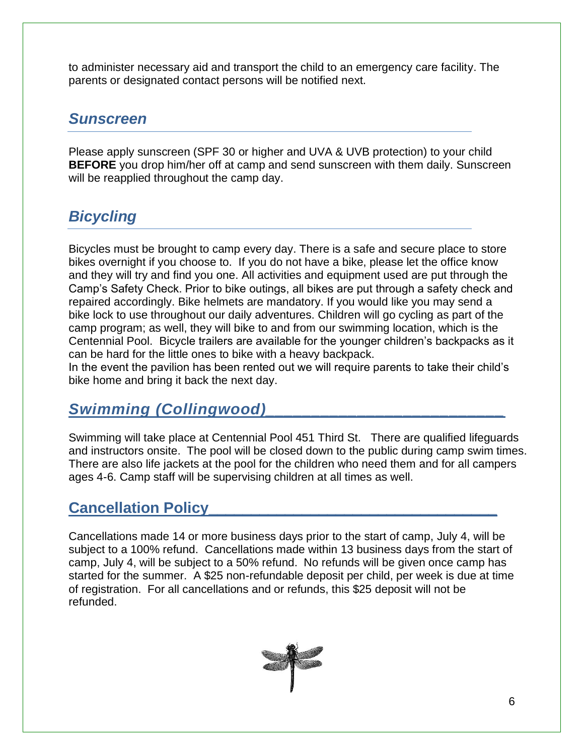to administer necessary aid and transport the child to an emergency care facility. The parents or designated contact persons will be notified next.

### *Sunscreen*

Please apply sunscreen (SPF 30 or higher and UVA & UVB protection) to your child **BEFORE** you drop him/her off at camp and send sunscreen with them daily. Sunscreen will be reapplied throughout the camp day.

# *Bicycling*

Bicycles must be brought to camp every day. There is a safe and secure place to store bikes overnight if you choose to. If you do not have a bike, please let the office know and they will try and find you one. All activities and equipment used are put through the Camp's Safety Check. Prior to bike outings, all bikes are put through a safety check and repaired accordingly. Bike helmets are mandatory. If you would like you may send a bike lock to use throughout our daily adventures. Children will go cycling as part of the camp program; as well, they will bike to and from our swimming location, which is the Centennial Pool. Bicycle trailers are available for the younger children's backpacks as it can be hard for the little ones to bike with a heavy backpack.

In the event the pavilion has been rented out we will require parents to take their child's bike home and bring it back the next day.

# *Swimming (Collingwood)\_\_\_\_\_\_\_\_\_\_\_\_\_\_\_\_\_\_\_\_\_\_\_\_\_\_*

Swimming will take place at Centennial Pool 451 Third St. There are qualified lifeguards and instructors onsite. The pool will be closed down to the public during camp swim times. There are also life jackets at the pool for the children who need them and for all campers ages 4-6. Camp staff will be supervising children at all times as well.

### **Cancellation Policy**

Cancellations made 14 or more business days prior to the start of camp, July 4, will be subject to a 100% refund. Cancellations made within 13 business days from the start of camp, July 4, will be subject to a 50% refund. No refunds will be given once camp has started for the summer. A \$25 non-refundable deposit per child, per week is due at time of registration. For all cancellations and or refunds, this \$25 deposit will not be refunded.